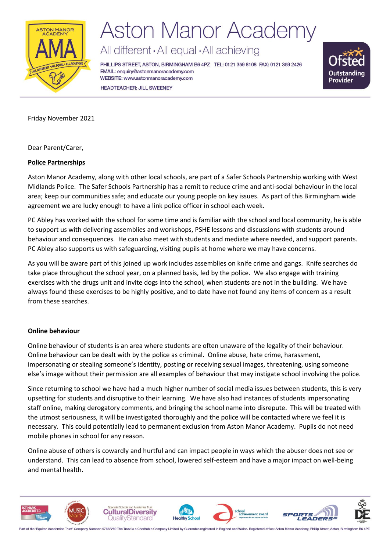

## **Aston Manor Academy**

All different · All equal · All achieving

PHILLIPS STREET, ASTON, BIRMINGHAM B6 4PZ TEL: 0121 359 8108 FAX: 0121 359 2426 EMAIL: enquiry@astonmanoracademy.com WEBSITE: www.astonmanoracademy.com **HEADTEACHER: JILL SWEENEY** 



Friday November 2021

Dear Parent/Carer,

## **Police Partnerships**

Aston Manor Academy, along with other local schools, are part of a Safer Schools Partnership working with West Midlands Police. The Safer Schools Partnership has a remit to reduce crime and anti-social behaviour in the local area; keep our communities safe; and educate our young people on key issues. As part of this Birmingham wide agreement we are lucky enough to have a link police officer in school each week.

PC Abley has worked with the school for some time and is familiar with the school and local community, he is able to support us with delivering assemblies and workshops, PSHE lessons and discussions with students around behaviour and consequences. He can also meet with students and mediate where needed, and support parents. PC Abley also supports us with safeguarding, visiting pupils at home where we may have concerns.

As you will be aware part of this joined up work includes assemblies on knife crime and gangs. Knife searches do take place throughout the school year, on a planned basis, led by the police. We also engage with training exercises with the drugs unit and invite dogs into the school, when students are not in the building. We have always found these exercises to be highly positive, and to date have not found any items of concern as a result from these searches.

## **Online behaviour**

Online behaviour of students is an area where students are often unaware of the legality of their behaviour. Online behaviour can be dealt with by the police as criminal. Online abuse, hate crime, harassment, impersonating or stealing someone's identity, posting or receiving sexual images, threatening, using someone else's image without their permission are all examples of behaviour that may instigate school involving the police.

Since returning to school we have had a much higher number of social media issues between students, this is very upsetting for students and disruptive to their learning. We have also had instances of students impersonating staff online, making derogatory comments, and bringing the school name into disrepute. This will be treated with the utmost seriousness, it will be investigated thoroughly and the police will be contacted where we feel it is necessary. This could potentially lead to permanent exclusion from Aston Manor Academy. Pupils do not need mobile phones in school for any reason.

Online abuse of others is cowardly and hurtful and can impact people in ways which the abuser does not see or understand. This can lead to absence from school, lowered self-esteem and have a major impact on well-being and mental health.